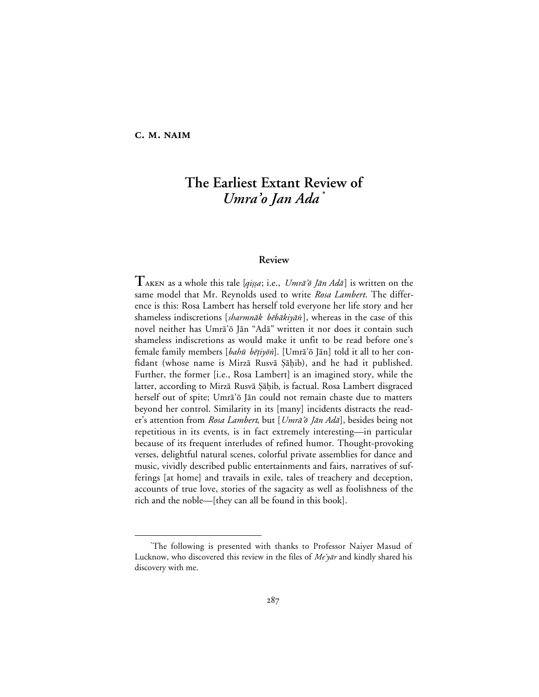# **C. M. NAIM**

# **The Earliest Extant Review of** *Umra'o Jan Ada* **\***

#### **Review**

**T** aken as a whole this tale [qiṣsa; i.e., Umrā'õ Jān Adā] is written on the same model that Mr. Reynolds used to write *Rosa Lambert*. The difference is this: Rosa Lambert has herself told everyone her life story and her shameless indiscretions [sharmnāk bēbākiyān], whereas in the case of this novel neither has Umrā'ō Jān "Adā" written it nor does it contain such shameless indiscretions as would make it unfit to be read before one's female family members [bahū bētiyōn]. [Umrā'ō Jān] told it all to her confidant (whose name is Mirzā Rusvā Şāḥib), and he had it published. Further, the former [i.e., Rosa Lambert] is an imagined story, while the latter, according to Mirzā Rusvā Şāḥib, is factual. Rosa Lambert disgraced herself out of spite; Umra'ō Jān could not remain chaste due to matters beyond her control. Similarity in its [many] incidents distracts the reader's attention from *Rosa Lambert*, but [Umrā'ō Jān Adā], besides being not repetitious in its events, is in fact extremely interesting—in particular because of its frequent interludes of refined humor. Thought-provoking verses, delightful natural scenes, colorful private assemblies for dance and music, vividly described public entertainments and fairs, narratives of sufferings [at home] and travails in exile, tales of treachery and deception, accounts of true love, stories of the sagacity as well as foolishness of the rich and the noble—[they can all be found in this book].

 <sup>\*</sup> The following is presented with thanks to Professor Naiyer Masud of Lucknow, who discovered this review in the files of  $Me\gamma\bar{a}r$  and kindly shared his discovery with me.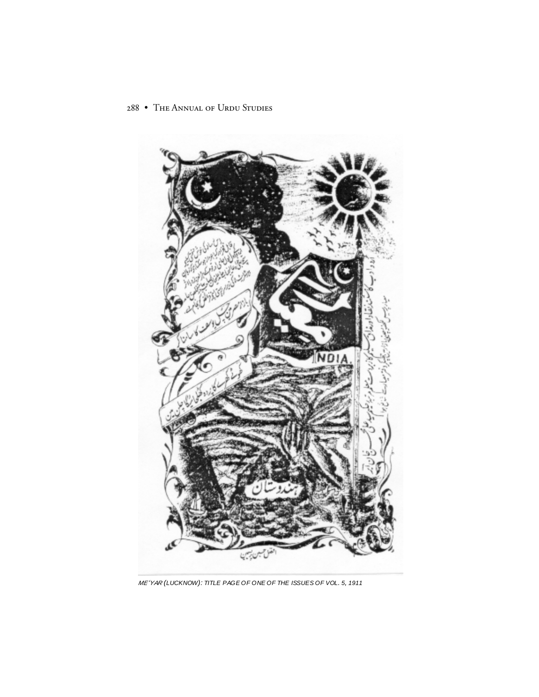

ME'YAR (LUCKNOW): TITLE PAGE OF ONE OF THE ISSUES OF VOL. 5, 1911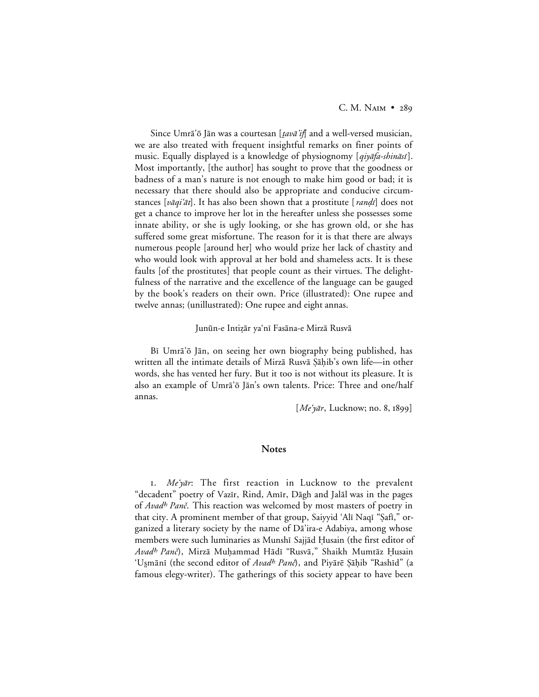Since Umrā'õ Jān was a courtesan [*tavā'if*] and a well-versed musician, we are also treated with frequent insightful remarks on finer points of music. Equally displayed is a knowledge of physiognomy [qiyafa-shinasi]. Most importantly, [the author] has sought to prove that the goodness or badness of a man's nature is not enough to make him good or bad; it is necessary that there should also be appropriate and conducive circumstances [*vāqiʿāt*]. It has also been shown that a prostitute [*ranḍī*] does not get a chance to improve her lot in the hereafter unless she possesses some innate ability, or she is ugly looking, or she has grown old, or she has suffered some great misfortune. The reason for it is that there are always numerous people [around her] who would prize her lack of chastity and who would look with approval at her bold and shameless acts. It is these faults [of the prostitutes] that people count as their virtues. The delightfulness of the narrative and the excellence of the language can be gauged by the book's readers on their own. Price (illustrated): One rupee and twelve annas; (unillustrated): One rupee and eight annas.

#### Junūn-e Intizār ya'nī Fasāna-e Mirzā Rusvā

Bi Umrā'ō Jān, on seeing her own biography being published, has written all the intimate details of Mirzā Rusvā Şāḥib's own life—in other words, she has vented her fury. But it too is not without its pleasure. It is also an example of Umrā'ō Jān's own talents. Price: Three and one/half annas.

 $[Me\hat{v}ar, Lucknow; no. 8, 1899]$ 

### **Notes**

I. Me'yar: The first reaction in Lucknow to the prevalent "decadent" poetry of Vazīr, Rind, Amīr, Dāgh and Jalāl was in the pages of Avad<sup>h</sup> Panč. This reaction was welcomed by most masters of poetry in that city. A prominent member of that group, Saiyyid 'Alī Naqī "Şafī," organized a literary society by the name of Dā'ira-e Adabiya, among whose members were such luminaries as Munshī Sajjād Ḥusain (the first editor of Avad<sup>h</sup> Panč), Mirzā Muhammad Hādī "Rusvā," Shaikh Mumtāz Ḥusain 'Uşmānī (the second editor of Avad<sup>h</sup> Panč), and Piyārē Şāḥib "Rashīd" (a famous elegy-writer). The gatherings of this society appear to have been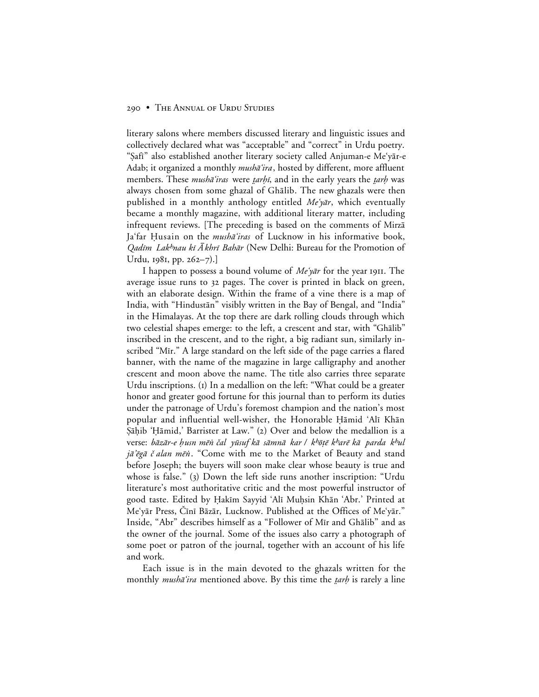#### 290 • THE ANNUAL OF URDU STUDIES

literary salons where members discussed literary and linguistic issues and collectively declared what was "acceptable" and "correct" in Urdu poetry. "¿afµ" also established another literary society called Anjuman-e Me'y≥r-e Adab; it organized a monthly *mushā'ira*, hosted by different, more affluent members. These *mushā'iras* were *tarhī*, and in the early years the *tarh* was always chosen from some ghazal of Ghālib. The new ghazals were then published in a monthly anthology entitled Me'yar, which eventually became a monthly magazine, with additional literary matter, including infrequent reviews. [The preceding is based on the comments of Mirza Ja'far Husain on the *musha<sup>c</sup>iras* of Lucknow in his informative book, *Qadīm Lak<sup>h</sup>nau kī Ā khrī Bahār* (New Delhi: Bureau for the Promotion of Urdu, 1981, pp.  $262 - 7$ .]

I happen to possess a bound volume of  $Me\hat{v}$  for the year 1911. The average issue runs to 32 pages. The cover is printed in black on green, with an elaborate design. Within the frame of a vine there is a map of India, with "Hindustān" visibly written in the Bay of Bengal, and "India" in the Himalayas. At the top there are dark rolling clouds through which two celestial shapes emerge: to the left, a crescent and star, with "Ghālib" inscribed in the crescent, and to the right, a big radiant sun, similarly inscribed "Mīr." A large standard on the left side of the page carries a flared banner, with the name of the magazine in large calligraphy and another crescent and moon above the name. The title also carries three separate Urdu inscriptions. (I) In a medallion on the left: "What could be a greater honor and greater good fortune for this journal than to perform its duties under the patronage of Urdu's foremost champion and the nation's most popular and influential well-wisher, the Honorable Hamid 'Alī Khān Şāḥib 'Hāmid,' Barrister at Law." (2) Over and below the medallion is a verse: bāzār-e *ḥusn mēn čal yūsuf kā sāmnā kar / k<sup>h</sup>ōṭē k<sup>h</sup>arē kā parda k<sup>h</sup>ul* jā'ēgā č alan mēn. "Come with me to the Market of Beauty and stand before Joseph; the buyers will soon make clear whose beauty is true and whose is false." (3) Down the left side runs another inscription: "Urdu literature's most authoritative critic and the most powerful instructor of good taste. Edited by Hakīm Sayyid 'Alī Muḥsin Khān 'Abr.' Printed at Me'yār Press, Čīnī Bāzār, Lucknow. Published at the Offices of Me'yār." Inside, "Abr" describes himself as a "Follower of Mīr and Ghālib" and as the owner of the journal. Some of the issues also carry a photograph of some poet or patron of the journal, together with an account of his life and work.

Each issue is in the main devoted to the ghazals written for the monthly *mushā'ira* mentioned above. By this time the *tarh* is rarely a line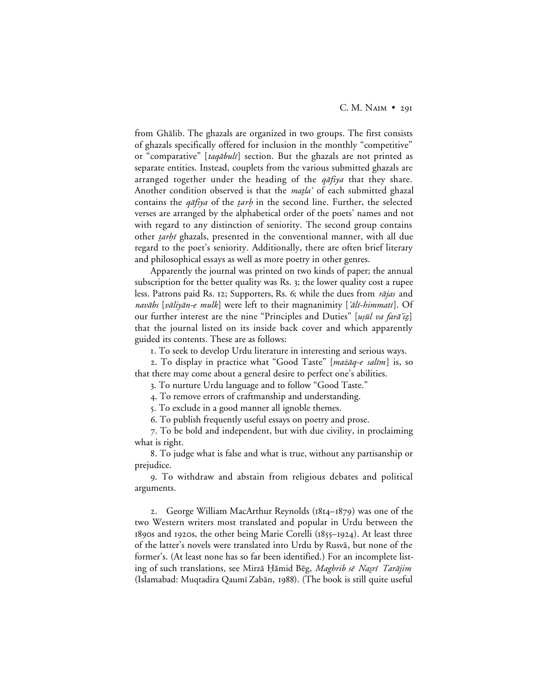from Ghālib. The ghazals are organized in two groups. The first consists of ghazals specifically offered for inclusion in the monthly "competitive" or "comparative" [taqābulī] section. But the ghazals are not printed as separate entities. Instead, couplets from the various submitted ghazals are arranged together under the heading of the  $q\bar{q}f\gamma q$  that they share. Another condition observed is that the matla' of each submitted ghazal contains the  $q\bar{q}f$ iya of the tarh in the second line. Further, the selected verses are arranged by the alphabetical order of the poets' names and not with regard to any distinction of seniority. The second group contains other *tarhi* ghazals, presented in the conventional manner, with all due regard to the poet's seniority. Additionally, there are often brief literary and philosophical essays as well as more poetry in other genres.

Apparently the journal was printed on two kinds of paper; the annual subscription for the better quality was Rs. 3; the lower quality cost a rupee less. Patrons paid Rs. 12; Supporters, Rs. 6; while the dues from *rājas* and navābs [vāliyān-e mulk] were left to their magnanimity ['ālī-himmatī]. Of our further interest are the nine "Principles and Duties" [ușūl va farā'iz] that the journal listed on its inside back cover and which apparently guided its contents. These are as follows:

. To seek to develop Urdu literature in interesting and serious ways.

2. To display in practice what "Good Taste" [mażāq-e salīm] is, so that there may come about a general desire to perfect one's abilities.

. To nurture Urdu language and to follow "Good Taste."

. To remove errors of craftmanship and understanding.

. To exclude in a good manner all ignoble themes.

. To publish frequently useful essays on poetry and prose.

. To be bold and independent, but with due civility, in proclaiming what is right.

. To judge what is false and what is true, without any partisanship or prejudice.

. To withdraw and abstain from religious debates and political arguments.

2. George William MacArthur Reynolds  $(1814 - 1879)$  was one of the two Western writers most translated and popular in Urdu between the  $189$ os and 1920s, the other being Marie Corelli ( $1855-1924$ ). At least three of the latter's novels were translated into Urdu by Rusva, but none of the former's. (At least none has so far been identified.) For an incomplete listing of such translations, see Mirzā Hāmid Bēg, Maghrib sē Nasrī Tarājim (Islamabad: Muqtadira Qaumī Zabān, 1988). (The book is still quite useful